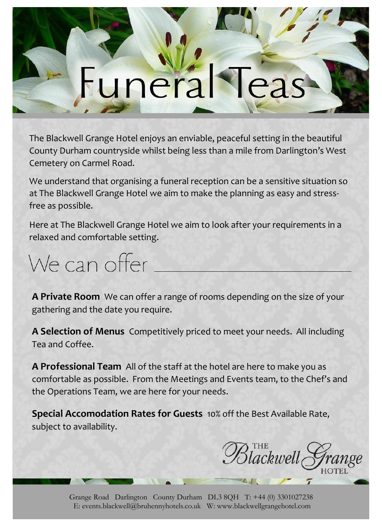## tuneral

The Blackwell Grange Hotel enjoys an enviable, peaceful setting in the beautiful County Durham countryside whilst being less than a mile from Darlington's West Cemetery on Carmel Road.

We understand that organising a funeral reception can be a sensitive situation so at The Blackwell Grange Hotel we aim to make the planning as easy and stressfree as possible.

Here at The Blackwell Grange Hotel we aim to look after your requirements in a relaxed and comfortable setting.

We can offer

**A Private Room** We can offer a range of rooms depending on the size of your gathering and the date you require.

**A Selection of Menus** Competitively priced to meet your needs. All including Tea and Coffee.

**A Professional Team** All of the staff at the hotel are here to make you as comfortable as possible. From the Meetings and Events team, to the Chef's and the Operations Team, we are here for your needs.

**Special Accomodation Rates for Guests** 10% off the Best Available Rate, subject to availability.

 $\overline{\mathcal{B}}$ lackwell $_\zeta$ 

Grange Road Darlington County Durham DL3 8QH T: +44 (0) 3301027238 E: events.blackwell@bruhennyhotels.co.uk W: www.blackwellgrangehotel.com